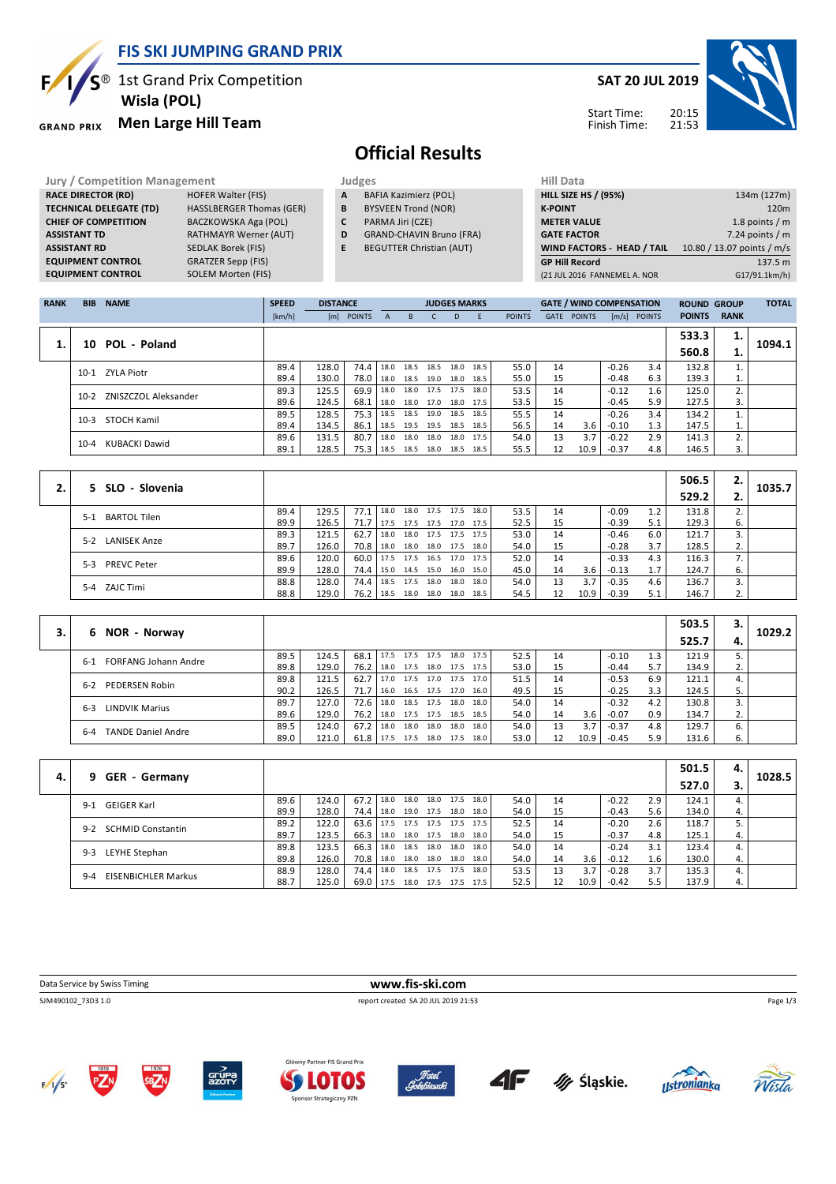**FIS SKI JUMPING GRAND PRIX**

<sup>®</sup> 1st Grand Prix Competition  **Wisla (POL)**

#### **Men Large Hill Team GRAND PRIX**

**RACE DIRECTOR (RD) HOFER Walter (FIS) TECHNICAL DELEGATE (TD)** HASSLBERGER Thomas (GER) **CHIEF OF COMPETITION** BACZKOWSKA Aga (POL) **ASSISTANT TD** RATHMAYR Werner (AUT) **ASSISTANT RD** SEDLAK Borek (FIS) **EQUIPMENT CONTROL** GRATZER Sepp (FIS) **EQUIPMENT CONTROL** SOLEM Morten (FIS)

### **SAT 20 JUL 2019**



Start Time: Finish Time:

# **Official Results**

**Jury / Competition Management Management All Data** Judges **Hill Data** 

- **A** BAFIA Kazimierz (POL)
- **B** BYSVEEN Trond (NOR) **C** PARMA Jiri (CZE)
- **D** GRAND-CHAVIN Bruno (FRA)
- **E** BEGUTTER Christian (AUT)
- **HILL SIZE HS / (95%)** 134m (127m) **K-POINT** 120m **METER VALUE** 1.8 points / m **GATE FACTOR** 6 and 2.24 points / m **WIND FACTORS - HEAD / TAIL** 10.80 / 13.07 points / m/s **GP Hill Record** 137.5 m (21 JUL 2016 FANNEMEL A. NOR G17/91.1km/h)

| <b>RANK</b> | <b>BIB</b>                | <b>NAME</b>          | <b>SPEED</b> | <b>DISTANCE</b> |               |              |           | <b>JUDGES MARKS</b> |           |      |               |             | <b>GATE / WIND COMPENSATION</b> |                     |               | <b>ROUND GROUP</b> |             | <b>TOTAL</b> |
|-------------|---------------------------|----------------------|--------------|-----------------|---------------|--------------|-----------|---------------------|-----------|------|---------------|-------------|---------------------------------|---------------------|---------------|--------------------|-------------|--------------|
|             |                           |                      | [km/h]       | [m]             | <b>POINTS</b> | $\mathsf{A}$ | B.        |                     | D.        | E    | <b>POINTS</b> | <b>GATE</b> | <b>POINTS</b>                   | $\lceil m/s \rceil$ | <b>POINTS</b> | <b>POINTS</b>      | <b>RANK</b> |              |
|             |                           |                      |              |                 |               |              |           |                     |           |      |               |             |                                 |                     |               | 533.3              | ı.          |              |
|             | POL - Poland<br>10        |                      |              |                 |               |              |           |                     |           |      |               |             |                                 |                     | 560.8         | 1.                 | 1094.1      |              |
|             |                           | 10-1 ZYLA Piotr      | 89.4         | 128.0           | 74.4          | 18.0         | 18.5 18.5 |                     | 18.0      | 18.5 | 55.0          | 14          |                                 | $-0.26$             | 3.4           | 132.8              |             |              |
|             |                           |                      | 89.4         | 130.0           | 78.0          | 18.0         | 18.5 19.0 |                     | 18.0      | 18.5 | 55.0          | 15          |                                 | $-0.48$             | 6.3           | 139.3              | T.          |              |
|             | $10-2$                    | ZNISZCZOL Aleksander | 89.3         | 125.5           | 69.9          | 18.0         | 18.0 17.5 |                     | 17.5      | 18.0 | 53.5          | 14          |                                 | $-0.12$             | 1.6           | 125.0              | 2.          |              |
|             |                           |                      | 89.6         | 124.5           | 68.1          | 18.0         |           | 18.0 17.0           | 18.0 17.5 |      | 53.5          | 15          |                                 | $-0.45$             | 5.9           | 127.5              | 3.          |              |
|             | $10-3$                    | STOCH Kamil          | 89.5         | 128.5           | 75.3          | 18.5         | 18.5 19.0 |                     | 18.5      | 18.5 | 55.5          | 14          |                                 | $-0.26$             | 3.4           | 134.2              |             |              |
|             |                           |                      | 89.4         | 134.5           | 86.1          | 18.5         | 19.5 19.5 |                     | 18.5      | 18.5 | 56.5          | 14          | 3.6                             | $-0.10$             | 1.3           | 147.5              | τ.          |              |
|             | KUBACKI Dawid<br>$10 - 4$ |                      | 89.6         | 131.5           | 80.7          | 18.0         | 18.0 18.0 |                     | 18.0      | 17.5 | 54.0          | 13          | 3.7                             | $-0.22$             | 2.9           | 141.3              | 2.          |              |
|             |                           |                      | 89.1         | 128.5           | 75.3          | 18.5         | 18.5 18.0 |                     | 18.5      | 18.5 | 55.5          | 12          | 10.9                            | $-0.37$             | 4.8           | 146.5              | 3.          |              |

|  |                             |      |       |                                 |      |                     |      |      |    |      |         |     | 506.5 | 2. | 1035.7 |
|--|-----------------------------|------|-------|---------------------------------|------|---------------------|------|------|----|------|---------|-----|-------|----|--------|
|  | 5 SLO - Slovenia            |      |       |                                 |      |                     |      |      |    |      |         |     | 529.2 |    |        |
|  | BARTOL Tilen<br>$5-1$       | 89.4 | 129.5 | 77.1 18.0                       | 18.0 | 17.5 17.5           | 18.0 | 53.5 | 14 |      | $-0.09$ |     | 131.8 |    |        |
|  |                             | 89.9 | 126.5 | $71.7$ 17.5                     |      | 17.5 17.5 17.0 17.5 |      | 52.5 | 15 |      | $-0.39$ | 5.1 | 129.3 | 6. |        |
|  | 5-2 LANISEK Anze            | 89.3 | 121.5 | $62.7$   18.0                   |      | 18.0 17.5 17.5 17.5 |      | 53.0 | 14 |      | $-0.46$ | 6.0 | 121.7 |    |        |
|  |                             | 89.7 | 126.0 | $70.8$   18.0                   |      | 18.0 18.0 17.5      | 18.0 | 54.0 | 15 |      | $-0.28$ | 3.7 | 128.5 | 2. |        |
|  | <b>PREVC Peter</b><br>$5-3$ | 89.6 | 120.0 | 60.0   17.5 17.5 16.5 17.0 17.5 |      |                     |      | 52.0 | 14 |      | $-0.33$ | 4.3 | 116.3 |    |        |
|  |                             | 89.9 | 128.0 | $74.4$ 15.0                     |      | 14.5 15.0 16.0 15.0 |      | 45.0 | 14 | 3.6  | $-0.13$ |     | 124.7 | 6. |        |
|  | 5-4 ZAJC Timi               | 88.8 | 128.0 | 74.4 18.5                       | 17.5 | 18.0 18.0           | 18.0 | 54.0 | 13 | 3.7  | $-0.35$ | 4.6 | 136.7 |    |        |
|  |                             | 88.8 | 129.0 | $76.2$ 18.5                     | 18.0 | 18.0 18.0           | 18.5 | 54.5 | 12 | 10.9 | $-0.39$ | 5.1 | 146.7 |    |        |

|  |                                        |      |       |      |      |           |                |      |      |      |    |      |         |     | 503.5 | з. |        |
|--|----------------------------------------|------|-------|------|------|-----------|----------------|------|------|------|----|------|---------|-----|-------|----|--------|
|  | NOR - Norway<br>6                      |      |       |      |      |           |                |      |      |      |    |      |         |     | 525.7 | 4. | 1029.2 |
|  | <b>FORFANG Johann Andre</b><br>$6 - 1$ | 89.5 | 124.5 | 68.1 | 17.5 | 17.5 17.5 |                | 18.0 | 17.5 | 52.5 | 14 |      | $-0.10$ |     | 121.9 |    |        |
|  |                                        | 89.8 | 129.0 | 76.2 | 18.0 |           | 17.5 18.0 17.5 |      | 17.5 | 53.0 | 15 |      | $-0.44$ | 5.7 | 134.9 | 2. |        |
|  | PEDERSEN Robin<br>$6 - 2$              | 89.8 | 121.5 | 62.7 | 17.0 |           | 17.5 17.0 17.5 |      | 17.0 | 51.5 | 14 |      | $-0.53$ | 6.9 | 121.1 |    |        |
|  |                                        | 90.2 | 126.5 | 71.7 | 16.0 |           | 16.5 17.5 17.0 |      | 16.0 | 49.5 | 15 |      | $-0.25$ | 3.3 | 124.5 | 5. |        |
|  |                                        | 89.7 | 127.0 | 72.6 | 18.0 | 18.5 17.5 |                | 18.0 | 18.0 | 54.0 | 14 |      | $-0.32$ | 4.2 | 130.8 |    |        |
|  | LINDVIK Marius<br>$6 - 3$              | 89.6 | 129.0 | 76.2 | 18.0 |           | 17.5 17.5 18.5 |      | 18.5 | 54.0 | 14 | 3.6  | $-0.07$ | 0.9 | 134.7 | 2. |        |
|  | <b>TANDE Daniel Andre</b><br>$6 - 4$   | 89.5 | 124.0 | 67.2 | 18.0 | 18.0 18.0 |                | 18.0 | 18.0 | 54.0 | 13 | 3.7  | $-0.37$ | 4.8 | 129.7 | 6. |        |
|  |                                        | 89.0 | 121.0 | 61.8 | 17.5 | 17.5      | 18.0 17.5      |      | 18.0 | 53.0 | 12 | 10.9 | $-0.45$ | 5.9 | 131.6 | 6. |        |

|    |                                       |      |       |             |      |                |      |      |      |    |      |         |     | 501.5 | 4. |        |
|----|---------------------------------------|------|-------|-------------|------|----------------|------|------|------|----|------|---------|-----|-------|----|--------|
| 4. | 9 GER - Germany                       |      |       |             |      |                |      |      |      |    |      |         |     | 527.0 |    | 1028.5 |
|    |                                       | 89.6 | 124.0 | 67.2        | 18.0 | 18.0 18.0 17.5 |      | 18.0 | 54.0 | 14 |      | $-0.22$ | 2.9 | 124.1 |    |        |
|    | GEIGER Karl<br>$9-1$                  | 89.9 | 128.0 | 74.4        | 18.0 | 19.0 17.5 18.0 |      | 18.0 | 54.0 | 15 |      | $-0.43$ | 5.6 | 134.0 | 4. |        |
|    | <b>SCHMID Constantin</b><br>$9 - 2$   | 89.2 | 122.0 | 63.6        | 17.5 | 17.5 17.5 17.5 |      | 17.5 | 52.5 | 14 |      | $-0.20$ | 2.6 | 118.7 |    |        |
|    |                                       | 89.7 | 123.5 | 66.3        | 18.0 | 18.0 17.5 18.0 |      | 18.0 | 54.0 | 15 |      | $-0.37$ | 4.8 | 125.1 | 4. |        |
|    | LEYHE Stephan<br>$9 - 3$              | 89.8 | 123.5 | 66.3        | 18.0 | 18.5 18.0      | 18.0 | 18.0 | 54.0 | 14 |      | $-0.24$ | 3.1 | 123.4 |    |        |
|    |                                       | 89.8 | 126.0 | 70.8        | 18.0 | 18.0 18.0      | 18.0 | 18.0 | 54.0 | 14 | 3.6  | $-0.12$ | 1.6 | 130.0 | 4. |        |
|    | <b>EISENBICHLER Markus</b><br>$9 - 4$ | 88.9 | 128.0 | 74.4        | 18.0 | 18.5 17.5 17.5 |      | 18.0 | 53.5 | 13 | 3.7  | $-0.28$ | 3.7 | 135.3 |    |        |
|    |                                       | 88.7 | 125.0 | 69.0   17.5 |      | 18.0 17.5 17.5 |      | 17.5 | 52.5 | 12 | 10.9 | $-0.42$ | 5.5 | 137.9 | 4. |        |

**Data Service by Swiss Timing WWW.fis-ski.com** SJM490102\_73D3 1.0 report created SA 20 JUL 2019 21:53 Page 1/3













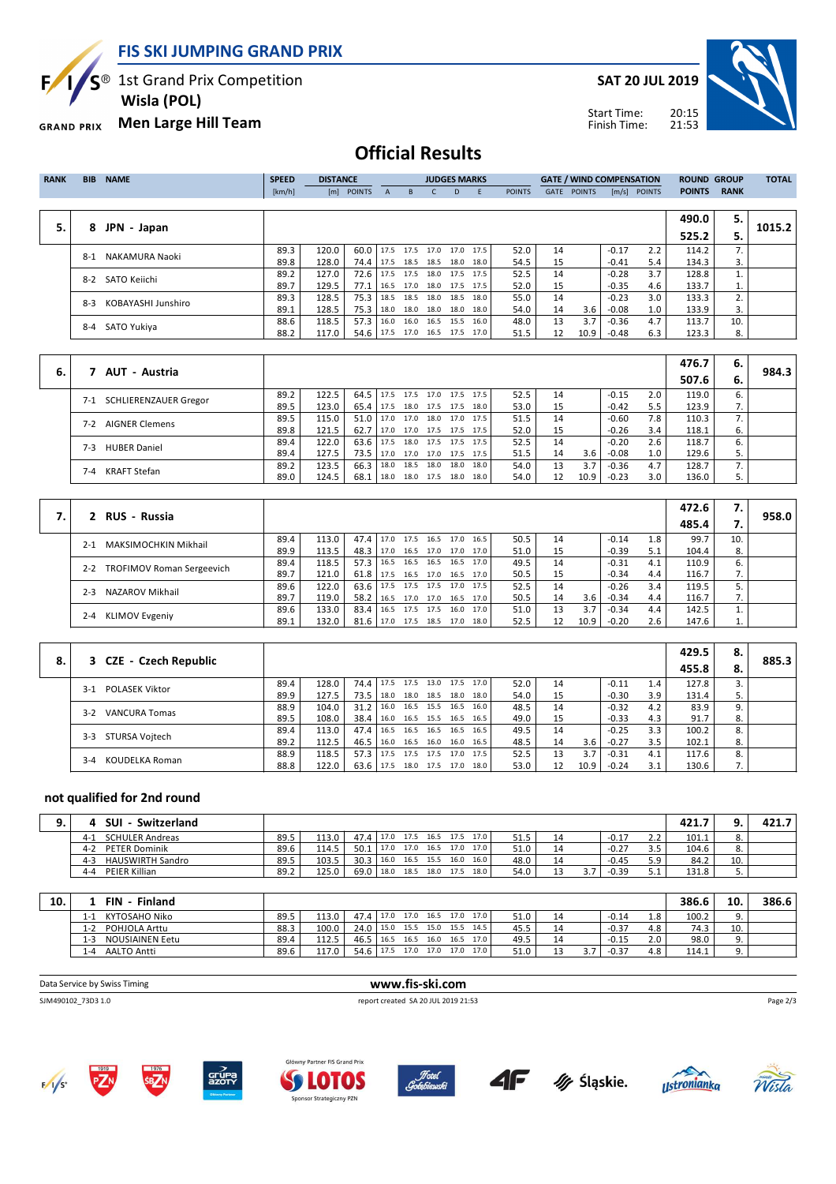**FIS SKI JUMPING GRAND PRIX**

 $S^{\circledast}$  1st Grand Prix Competition

E

 **Wisla (POL)**

**Men Large Hill Team GRAND PRIX** 

**SAT 20 JUL 2019**



Start Time: Finish Time:

# **Official Results**

| <b>RANK</b> | <b>BIB</b>              | <b>NAME</b>        | <b>SPEED</b><br><b>DISTANCE</b> |       |                               |                          | <b>JUDGES MARKS</b>           |    |           |               | <b>GATE / WIND COMPENSATION</b> |               |         | <b>ROUND GROUP</b> |               | <b>TOTAL</b> |        |
|-------------|-------------------------|--------------------|---------------------------------|-------|-------------------------------|--------------------------|-------------------------------|----|-----------|---------------|---------------------------------|---------------|---------|--------------------|---------------|--------------|--------|
|             |                         |                    | [km/h]                          |       | [m] POINTS                    | $\mathsf{A}$             | B.                            | D. | - E       | <b>POINTS</b> | GATE                            | <b>POINTS</b> |         | $[m/s]$ POINTS     | <b>POINTS</b> | <b>RANK</b>  |        |
|             |                         |                    |                                 |       |                               |                          |                               |    |           |               |                                 |               |         |                    |               |              |        |
|             |                         |                    |                                 |       |                               |                          |                               |    |           |               |                                 |               |         |                    | 490.0         | 5.           |        |
| 5.          | JPN - Japan<br>8        |                    |                                 |       |                               |                          |                               |    |           |               |                                 |               |         |                    | 525.2         | 5.           | 1015.2 |
|             |                         |                    | 89.3                            | 120.0 | 60.0 17.5 17.5 17.0 17.0 17.5 |                          |                               |    |           | 52.0          | 14                              |               | $-0.17$ | 2.2                | 114.2         | 7.           |        |
|             | NAKAMURA Naoki<br>$8-1$ | 89.8               | 128.0                           | 74.4  |                               | 17.5 18.5 18.5 18.0 18.0 |                               |    | 54.5      | 15            |                                 | $-0.41$       | 5.4     | 134.3              | 3.            |              |        |
|             | $8-2$                   | SATO Keiichi       | 89.2                            | 127.0 | 72.6                          |                          | 17.5 17.5 18.0 17.5 17.5      |    |           | 52.5          | 14                              |               | $-0.28$ | 3.7                | 128.8         |              |        |
|             |                         |                    | 89.7                            | 129.5 | 77.1                          |                          | 16.5 17.0 18.0 17.5 17.5      |    |           | 52.0          | 15                              |               | $-0.35$ | 4.6                | 133.7         | 1.           |        |
|             | $8-3$                   | KOBAYASHI Junshiro | 89.3                            | 128.5 | 75.3                          |                          | 18.5 18.5 18.0                |    | 18.5 18.0 | 55.0          | 14                              |               | $-0.23$ | 3.0                | 133.3         |              |        |
|             |                         |                    | 89.1                            | 128.5 | 75.3                          |                          | $18.0$ 18.0 18.0 18.0 18.0    |    |           | 54.0          | 14                              | 3.6           | $-0.08$ | 1.0                | 133.9         | 3.           |        |
|             |                         |                    | 88.6                            | 118.5 | 57.3                          |                          | 16.0 16.0 16.5 15.5 16.0      |    |           | 48.0          | 13                              | 3.7           | $-0.36$ | 4.7                | 113.7         | 10.          |        |
|             | SATO Yukiya<br>8-4      |                    | 88.2                            | 117.0 |                               |                          | 54.6 17.5 17.0 16.5 17.5 17.0 |    |           | 51.5          | 12                              | 10.9          | $-0.48$ | 6.3                | 123.3         | 8.           |        |
|             |                         |                    |                                 |       |                               |                          |                               |    |           |               |                                 |               |         |                    |               |              |        |

|                     |                                     |      |       |                  |      |      |      |                     |      |    |      |         |     | 476.7 | 6.  |       |
|---------------------|-------------------------------------|------|-------|------------------|------|------|------|---------------------|------|----|------|---------|-----|-------|-----|-------|
| 6.                  | AUT - Austria                       |      |       |                  |      |      |      |                     |      |    |      |         |     | 507.6 | -6. | 984.3 |
|                     | <b>SCHLIERENZAUER Gregor</b><br>7-1 | 89.2 | 122.5 | 64.5   17.5 17.5 |      |      |      | 17.0 17.5 17.5      | 52.5 | 14 |      | $-0.15$ | 2.0 | 119.0 | ь.  |       |
|                     |                                     | 89.5 | 123.0 | 65.4             | 17.5 | 18.0 |      | 17.5 17.5 18.0      | 53.0 | 15 |      | $-0.42$ | 5.5 | 123.9 | ,,  |       |
|                     | <b>AIGNER Clemens</b><br>$7-2$      | 89.5 | 115.0 | $51.0$ 17.0      |      | 17.0 |      | 18.0 17.0 17.5      | 51.5 | 14 |      | $-0.60$ | 7.8 | 110.3 |     |       |
|                     |                                     | 89.8 | 121.5 | 62.7             | 17.0 |      |      | 17.0 17.5 17.5 17.5 | 52.0 | 15 |      | $-0.26$ | 3.4 | 118.1 | 6.  |       |
|                     |                                     | 89.4 | 122.0 | $63.6$   17.5    |      | 18.0 |      | 17.5 17.5 17.5      | 52.5 | 14 |      | $-0.20$ | 2.6 | 118.7 |     |       |
|                     | <b>HUBER Daniel</b><br>$7-3$        | 89.4 | 127.5 | 73.5 17.0        |      |      |      | 17.0 17.0 17.5 17.5 | 51.5 | 14 | 3.6  | $-0.08$ | 1.0 | 129.6 |     |       |
| KRAFT Stefan<br>7-4 |                                     | 89.2 | 123.5 | 66.3             | 18.0 | 18.5 | 18.0 | 18.0 18.0           | 54.0 | 13 | 3.7  | $-0.36$ | 4.7 | 128.7 |     |       |
|                     |                                     | 89.0 | 124.5 | 68.1             | 18.0 |      |      | 18.0 17.5 18.0 18.0 | 54.0 | 12 | 10.9 | $-0.23$ | 3.0 | 136.0 |     |       |

|  | 2 RUS - Russia                              |      |       |        |                          |      |      |                     |      |      |    |      |         |     | 472.6 | 7. '        |       |
|--|---------------------------------------------|------|-------|--------|--------------------------|------|------|---------------------|------|------|----|------|---------|-----|-------|-------------|-------|
|  |                                             |      |       |        |                          |      |      |                     |      |      |    |      |         |     | 485.4 |             | 958.0 |
|  | <b>MAKSIMOCHKIN Mikhail</b><br>$2 - 1$      | 89.4 | 113.0 | 47.4   | 17.0                     | 17.5 | 16.5 | 17.0                | 16.5 | 50.5 | 14 |      | $-0.14$ | 1.8 | 99.7  | 10.         |       |
|  |                                             | 89.9 | 113.5 | 48.3   | 17.0                     |      |      | 16.5 17.0 17.0 17.0 |      | 51.0 | 15 |      | $-0.39$ | 5.1 | 104.4 | 8.          |       |
|  | <b>TROFIMOV Roman Sergeevich</b><br>$2 - 2$ | 89.4 | 118.5 | 57.3   | 16.5                     | 16.5 |      | 16.5 16.5 17.0      |      | 49.5 | 14 |      | $-0.31$ | 4.1 | 110.9 |             |       |
|  |                                             | 89.7 | 121.0 | 61.8 l | 17.5                     |      |      | 16.5 17.0 16.5 17.0 |      | 50.5 | 15 |      | $-0.34$ | 4.4 | 116.7 |             |       |
|  | NAZAROV Mikhail<br>$2 - 3$                  | 89.6 | 122.0 | 63.6   | 17.5                     |      |      | 17.5 17.5 17.0 17.5 |      | 52.5 | 14 |      | $-0.26$ | 3.4 | 119.5 |             |       |
|  |                                             | 89.7 | 119.0 | 58.2   | 16.5                     |      |      | 17.0 17.0 16.5 17.0 |      | 50.5 | 14 | 3.6  | $-0.34$ | 4.4 | 116.7 | $\prime$ .  |       |
|  | <b>KLIMOV Evgeniy</b><br>$2 - 4$            | 89.6 | 133.0 | 83.4   | 16.5                     |      |      | 17.5 17.5 16.0 17.0 |      | 51.0 | 13 | 3.7  | $-0.34$ | 4.4 | 142.5 |             |       |
|  |                                             | 89.1 | 132.0 | 81.6   | 17.0 17.5 18.5 17.0 18.0 |      |      |                     |      | 52.5 | 12 | 10.9 | $-0.20$ | 2.6 | 147.6 | <b>1.</b> I |       |

|    |                                |      |       |               |      |      |                |                |      |      |    |      |         |     | 429.5 | 8. |       |
|----|--------------------------------|------|-------|---------------|------|------|----------------|----------------|------|------|----|------|---------|-----|-------|----|-------|
| 8. | 3 CZE - Czech Republic         |      |       |               |      |      |                |                |      |      |    |      |         |     | 455.8 | 8. | 885.3 |
|    | <b>POLASEK Viktor</b><br>$3-1$ | 89.4 | 128.0 | 74.4 17.5     |      | 17.5 | 13.0 17.5      |                | 17.0 | 52.0 | 14 |      | $-0.11$ | 1.4 | 127.8 |    |       |
|    |                                | 89.9 | 127.5 | 73.5          | 18.0 |      |                | 18.0 18.5 18.0 | 18.0 | 54.0 | 15 |      | $-0.30$ | 3.9 | 131.4 |    |       |
|    | <b>VANCURA Tomas</b><br>$3-2$  | 88.9 | 104.0 | 31.2          | 16.0 |      | 16.5 15.5      | 16.5           | 16.0 | 48.5 | 14 |      | $-0.32$ | 4.2 | 83.9  |    |       |
|    |                                | 89.5 | 108.0 | 38.4          | 16.0 |      | 16.5 15.5 16.5 |                | 16.5 | 49.0 | 15 |      | $-0.33$ | 4.3 | 91.7  | 8. |       |
|    | STURSA Voitech<br>$3-3$        | 89.4 | 113.0 | 47.4          | 16.5 |      | 16.5 16.5 16.5 |                | 16.5 | 49.5 | 14 |      | $-0.25$ | 3.3 | 100.2 | 8. |       |
|    |                                | 89.2 | 112.5 | 46.5          | 16.0 |      | 16.5 16.0      | 16.0           | 16.5 | 48.5 | 14 | 3.6  | $-0.27$ | 3.5 | 102.1 | 8. |       |
|    | KOUDELKA Roman<br>$3 - 4$      | 88.9 | 118.5 | $57.3$   17.5 |      |      |                | 17.5 17.5 17.0 | 17.5 | 52.5 | 13 | 3.7  | $-0.31$ | 4.1 | 117.6 | 8. |       |
|    |                                | 88.8 | 122.0 | $63.6$   17.5 |      |      |                | 18.0 17.5 17.0 | 18.0 | 53.0 | 12 | 10.9 | $-0.24$ | 3.1 | 130.6 |    |       |

#### **not qualified for 2nd round**

| <b>SUI</b><br>Switzerland          |      |       |                               |      |      |                |                     |      |                |         |          | 421.7 |     | 421.7 |
|------------------------------------|------|-------|-------------------------------|------|------|----------------|---------------------|------|----------------|---------|----------|-------|-----|-------|
| <b>SCHULER Andreas</b><br>$4 - 1$  | 89.5 | 113.0 | 47.4 17.0 17.5 16.5 17.5 17.0 |      |      |                |                     | 51.5 | 14             | $-0.17$ | <u>.</u> | 101.1 |     |       |
| <b>PETER Dominik</b><br>$4-2$      | 89.6 | 114.5 | 50.1                          | 17.0 |      |                | 17.0 16.5 17.0 17.0 | 51.0 | 1 <sub>1</sub> | $-0.27$ |          | 104.6 |     |       |
| <b>HAUSWIRTH Sandro</b><br>$4 - 3$ | 89.5 | 103.5 | 30.3                          | 16.0 |      | 16.5 15.5 16.0 | 16.0                | 48.0 |                | $-0.45$ |          | 84.2  | 10. |       |
| <b>PEIER Killian</b><br>$4 - 4$    | 89.2 | 125.0 | 69.0                          | 18.0 | 18.5 | 18.0 17.5      | 18.0                | 54.0 |                | $-0.39$ |          | 131.8 |     |       |

| 10. | FIN<br>Finland                    |      |       |           |      |           |      |                     |      |    |         |     | 386.6 | 10  | 386.6 |
|-----|-----------------------------------|------|-------|-----------|------|-----------|------|---------------------|------|----|---------|-----|-------|-----|-------|
|     | KYTOSAHO Niko<br>l-1              | 89.5 | 113.0 | 47.4 17.0 |      |           |      | 17.0 16.5 17.0 17.0 | 51.0 |    | $-0.14$ | 1.8 | 100.2 |     |       |
|     | POHJOLA Arttu<br>l-2              | 88.3 | 100.0 | 24.0      | 15.0 | 15.5 15.0 |      | 15.5 14.5           | 45.5 | 14 | $-0.37$ | 4.8 | 74.3  | 10. |       |
|     | <b>NOUSIAINEN Eetu</b><br>$1 - 3$ | 89.4 | 112.5 | 46.5 16.5 |      | 16.5 16.0 |      | 16.5<br>17.0        | 49.5 | 14 | $-0.15$ | 2.0 | 98.0  |     |       |
|     | <b>AALTO Antti</b><br>$-4$        | 89.6 | 117.0 | 54.6      | 17.5 | 17.0      | 17.0 | 17.0<br>17.0        | 51.0 |    | $-0.37$ | 4.8 | 114.1 |     |       |

| Data Service by Swiss Timing | www.fis-ski.com                     |          |
|------------------------------|-------------------------------------|----------|
| SJM490102 73D3 1.0           | report created SA 20 JUL 2019 21:53 | Page 2/3 |
|                              |                                     |          |



PZ<sub>N</sub>